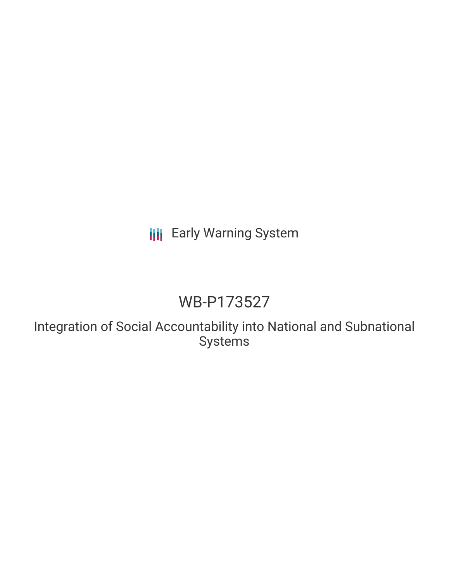**III** Early Warning System

# WB-P173527

Integration of Social Accountability into National and Subnational Systems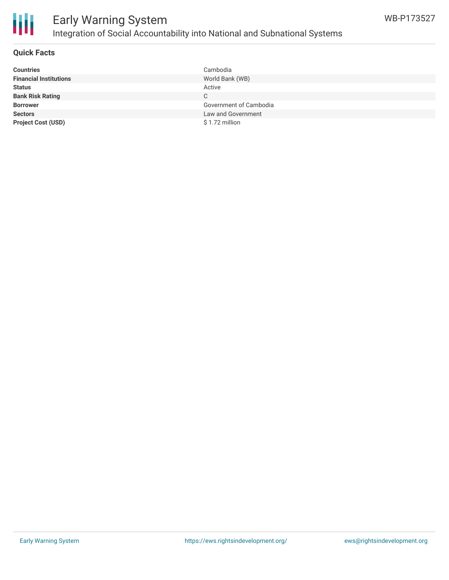

## **Quick Facts**

| <b>Countries</b>              | Cambodia               |
|-------------------------------|------------------------|
| <b>Financial Institutions</b> | World Bank (WB)        |
| <b>Status</b>                 | Active                 |
| <b>Bank Risk Rating</b>       | $\mathsf{C}$           |
| <b>Borrower</b>               | Government of Cambodia |
| <b>Sectors</b>                | Law and Government     |
| <b>Project Cost (USD)</b>     | \$1.72 million         |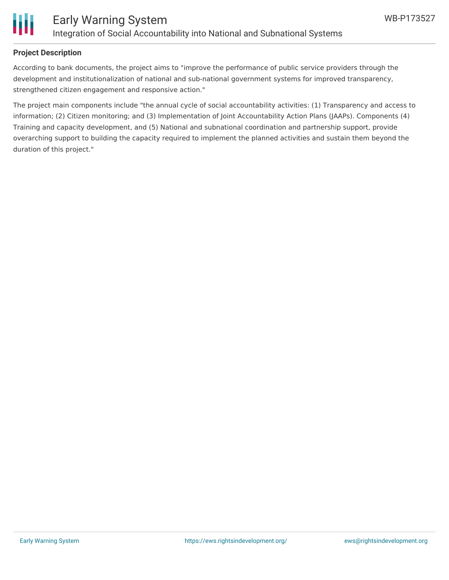

# **Project Description**

According to bank documents, the project aims to "improve the performance of public service providers through the development and institutionalization of national and sub-national government systems for improved transparency, strengthened citizen engagement and responsive action."

The project main components include "the annual cycle of social accountability activities: (1) Transparency and access to information; (2) Citizen monitoring; and (3) Implementation of Joint Accountability Action Plans (JAAPs). Components (4) Training and capacity development, and (5) National and subnational coordination and partnership support, provide overarching support to building the capacity required to implement the planned activities and sustain them beyond the duration of this project."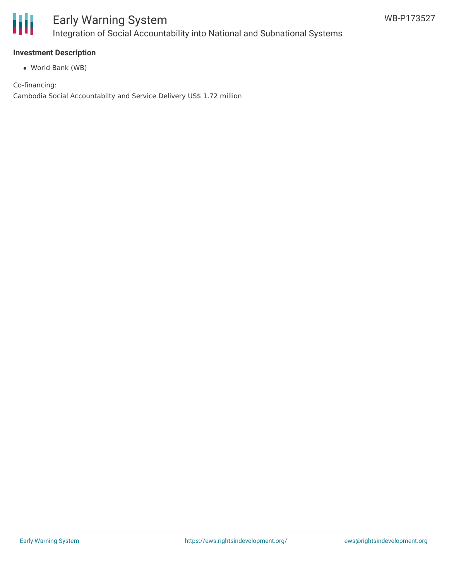

## **Investment Description**

World Bank (WB)

Co-financing: Cambodia Social Accountabilty and Service Delivery US\$ 1.72 million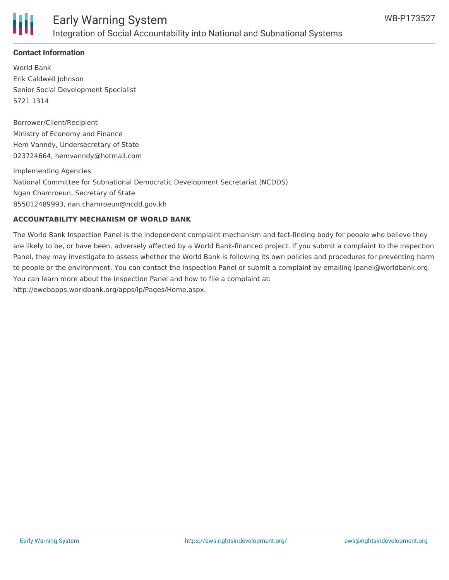

# **Contact Information**

World Bank Erik Caldwell Johnson Senior Social Development Specialist 5721 1314

Borrower/Client/Recipient Ministry of Economy and Finance Hem Vanndy, Undersecretary of State 023724664, hemvanndy@hotmail.com

Implementing Agencies National Committee for Subnational Democratic Development Secretariat (NCDDS) Ngan Chamroeun, Secretary of State 855012489993, nan.chamroeun@ncdd.gov.kh

## **ACCOUNTABILITY MECHANISM OF WORLD BANK**

The World Bank Inspection Panel is the independent complaint mechanism and fact-finding body for people who believe they are likely to be, or have been, adversely affected by a World Bank-financed project. If you submit a complaint to the Inspection Panel, they may investigate to assess whether the World Bank is following its own policies and procedures for preventing harm to people or the environment. You can contact the Inspection Panel or submit a complaint by emailing ipanel@worldbank.org. You can learn more about the Inspection Panel and how to file a complaint at: http://ewebapps.worldbank.org/apps/ip/Pages/Home.aspx.